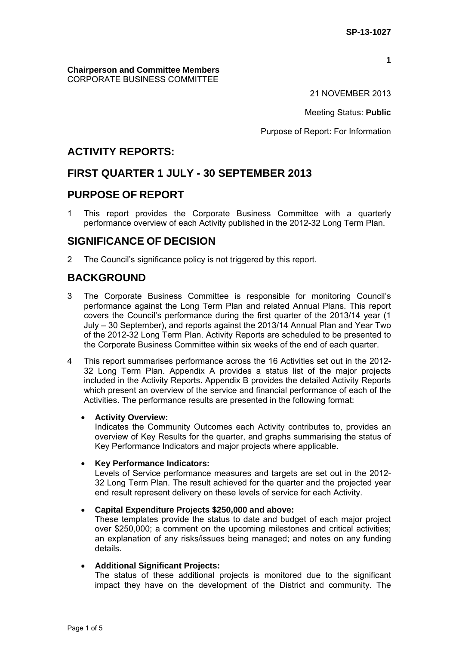**1**

### **Chairperson and Committee Members** CORPORATE BUSINESS COMMITTEE

21 NOVEMBER 2013

Meeting Status: **Public**

Purpose of Report: For Information

# **ACTIVITY REPORTS:**

# **FIRST QUARTER 1 JULY - 30 SEPTEMBER 2013**

# **PURPOSE OF REPORT**

1 This report provides the Corporate Business Committee with a quarterly performance overview of each Activity published in the 2012-32 Long Term Plan.

# **SIGNIFICANCE OF DECISION**

2 The Council's significance policy is not triggered by this report.

# **BACKGROUND**

- 3 The Corporate Business Committee is responsible for monitoring Council's performance against the Long Term Plan and related Annual Plans. This report covers the Council's performance during the first quarter of the 2013/14 year (1 July – 30 September), and reports against the 2013/14 Annual Plan and Year Two of the 2012-32 Long Term Plan. Activity Reports are scheduled to be presented to the Corporate Business Committee within six weeks of the end of each quarter.
- 4 This report summarises performance across the 16 Activities set out in the 2012- 32 Long Term Plan. Appendix A provides a status list of the major projects included in the Activity Reports. Appendix B provides the detailed Activity Reports which present an overview of the service and financial performance of each of the Activities. The performance results are presented in the following format:

## **Activity Overview:**

Indicates the Community Outcomes each Activity contributes to, provides an overview of Key Results for the quarter, and graphs summarising the status of Key Performance Indicators and major projects where applicable.

## **Key Performance Indicators:**

Levels of Service performance measures and targets are set out in the 2012- 32 Long Term Plan. The result achieved for the quarter and the projected year end result represent delivery on these levels of service for each Activity.

## **Capital Expenditure Projects \$250,000 and above:**

These templates provide the status to date and budget of each major project over \$250,000; a comment on the upcoming milestones and critical activities; an explanation of any risks/issues being managed; and notes on any funding details.

## **Additional Significant Projects:**

The status of these additional projects is monitored due to the significant impact they have on the development of the District and community. The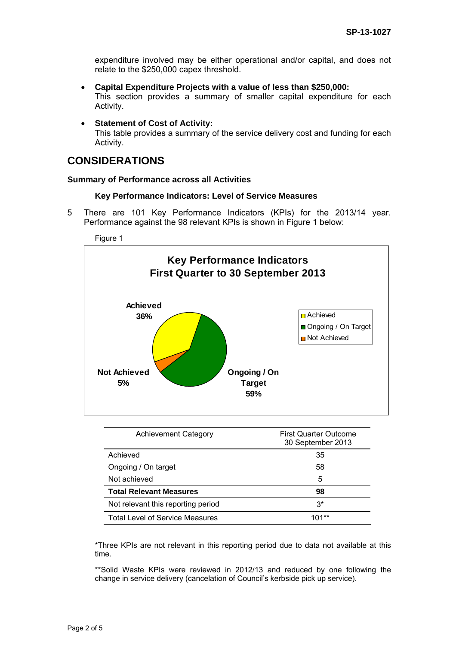expenditure involved may be either operational and/or capital, and does not relate to the \$250,000 capex threshold.

- **Capital Expenditure Projects with a value of less than \$250,000:**  This section provides a summary of smaller capital expenditure for each Activity.
- **Statement of Cost of Activity:**

This table provides a summary of the service delivery cost and funding for each Activity.

# **CONSIDERATIONS**

### **Summary of Performance across all Activities**

#### **Key Performance Indicators: Level of Service Measures**

5 There are 101 Key Performance Indicators (KPIs) for the 2013/14 year. Performance against the 98 relevant KPIs is shown in Figure 1 below:

#### Figure 1



| <b>Achievement Category</b>            | <b>First Quarter Outcome</b><br>30 September 2013 |
|----------------------------------------|---------------------------------------------------|
| Achieved                               | 35                                                |
| Ongoing / On target                    | 58                                                |
| Not achieved                           | 5                                                 |
| <b>Total Relevant Measures</b>         | 98                                                |
| Not relevant this reporting period     | $3^*$                                             |
| <b>Total Level of Service Measures</b> | $101***$                                          |

\*Three KPIs are not relevant in this reporting period due to data not available at this time.

\*\*Solid Waste KPIs were reviewed in 2012/13 and reduced by one following the change in service delivery (cancelation of Council's kerbside pick up service).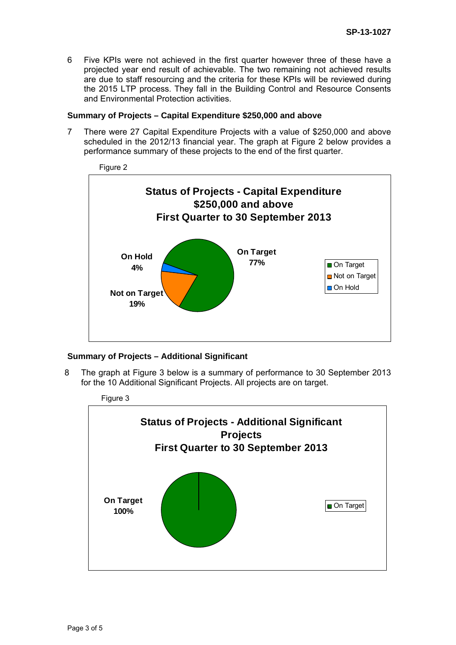6 Five KPIs were not achieved in the first quarter however three of these have a projected year end result of achievable. The two remaining not achieved results are due to staff resourcing and the criteria for these KPIs will be reviewed during the 2015 LTP process. They fall in the Building Control and Resource Consents and Environmental Protection activities.

### **Summary of Projects – Capital Expenditure \$250,000 and above**

7 There were 27 Capital Expenditure Projects with a value of \$250,000 and above scheduled in the 2012/13 financial year. The graph at Figure 2 below provides a performance summary of these projects to the end of the first quarter.



## **Summary of Projects – Additional Significant**

8 The graph at Figure 3 below is a summary of performance to 30 September 2013 for the 10 Additional Significant Projects. All projects are on target.

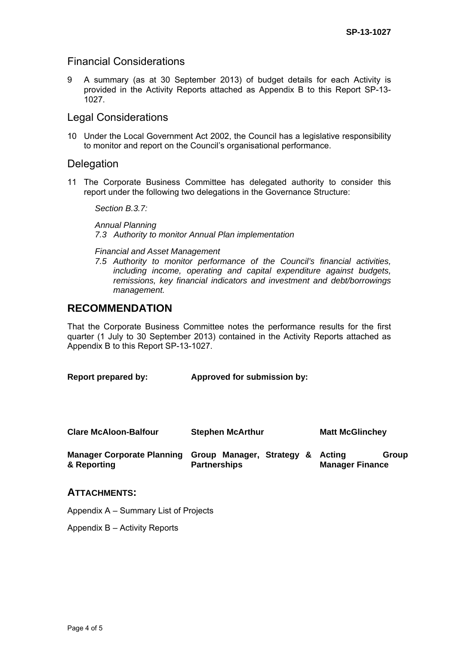# Financial Considerations

9 A summary (as at 30 September 2013) of budget details for each Activity is provided in the Activity Reports attached as Appendix B to this Report SP-13- 1027.

# Legal Considerations

10 Under the Local Government Act 2002, the Council has a legislative responsibility to monitor and report on the Council's organisational performance.

## **Delegation**

11 The Corporate Business Committee has delegated authority to consider this report under the following two delegations in the Governance Structure:

*Section B.3.7:* 

*Annual Planning 7.3 Authority to monitor Annual Plan implementation* 

#### *Financial and Asset Management*

*7.5 Authority to monitor performance of the Council's financial activities, including income, operating and capital expenditure against budgets, remissions, key financial indicators and investment and debt/borrowings management.* 

# **RECOMMENDATION**

That the Corporate Business Committee notes the performance results for the first quarter (1 July to 30 September 2013) contained in the Activity Reports attached as Appendix B to this Report SP-13-1027.

| Report prepared by:                              | Approved for submission by:                      |                                           |  |
|--------------------------------------------------|--------------------------------------------------|-------------------------------------------|--|
| <b>Clare McAloon-Balfour</b>                     | <b>Stephen McArthur</b>                          | <b>Matt McGlinchey</b>                    |  |
| <b>Manager Corporate Planning</b><br>& Reporting | Group Manager, Strategy &<br><b>Partnerships</b> | Group<br>Acting<br><b>Manager Finance</b> |  |

## **ATTACHMENTS:**

Appendix A – Summary List of Projects

Appendix B – Activity Reports